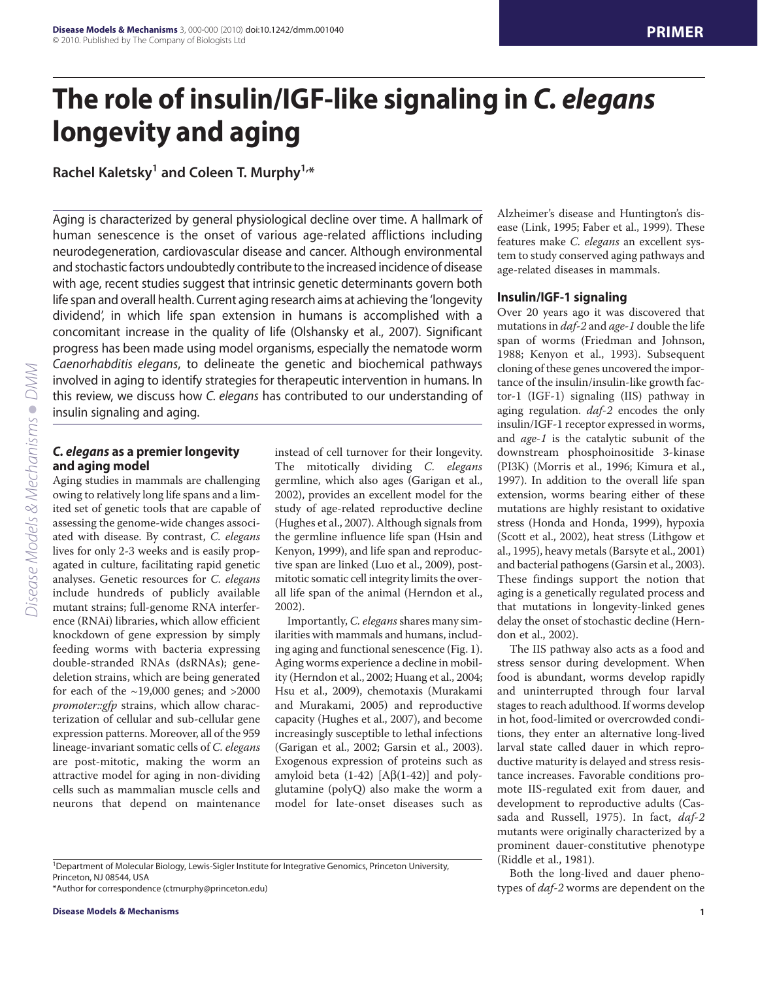# **The role of insulin/IGF-like signaling in** *C. elegans* **longevity and aging**

**Rachel Kaletsky1 and Coleen T. Murphy1,\***

Aging is characterized by general physiological decline over time. A hallmark of human senescence is the onset of various age-related afflictions including neurodegeneration, cardiovascular disease and cancer. Although environmental and stochastic factors undoubtedly contribute to the increased incidence of disease with age, recent studies suggest that intrinsic genetic determinants govern both life span and overall health. Current aging research aims at achieving the 'longevity dividend', in which life span extension in humans is accomplished with a concomitant increase in the quality of life (Olshansky et al., 2007). Significant progress has been made using model organisms, especially the nematode worm *Caenorhabditis elegans*, to delineate the genetic and biochemical pathways involved in aging to identify strategies for therapeutic intervention in humans. In this review, we discuss how *C. elegans* has contributed to our understanding of insulin signaling and aging.

## *C. elegans* **as a premier longevity and aging model**

Aging studies in mammals are challenging owing to relatively long life spans and a limited set of genetic tools that are capable of assessing the genome-wide changes associated with disease. By contrast, *C. elegans* lives for only 2-3 weeks and is easily propagated in culture, facilitating rapid genetic analyses. Genetic resources for *C. elegans* include hundreds of publicly available mutant strains; full-genome RNA interference (RNAi) libraries, which allow efficient knockdown of gene expression by simply feeding worms with bacteria expressing double-stranded RNAs (dsRNAs); genedeletion strains, which are being generated for each of the  $\sim$ 19,000 genes; and  $>$ 2000 *promoter::gfp* strains, which allow characterization of cellular and sub-cellular gene expression patterns. Moreover, all of the 959 lineage-invariant somatic cells of *C. elegans* are post-mitotic, making the worm an attractive model for aging in non-dividing cells such as mammalian muscle cells and neurons that depend on maintenance

instead of cell turnover for their longevity. The mitotically dividing *C. elegans* germline, which also ages (Garigan et al., 2002), provides an excellent model for the study of age-related reproductive decline (Hughes et al., 2007). Although signals from the germline influence life span (Hsin and Kenyon, 1999), and life span and reproductive span are linked (Luo et al., 2009), postmitotic somatic cell integrity limits the overall life span of the animal (Herndon et al., 2002).

Importantly, *C. elegans*shares many similarities with mammals and humans, including aging and functional senescence (Fig. 1). Aging worms experience a decline in mobility (Herndon et al., 2002; Huang et al., 2004; Hsu et al., 2009), chemotaxis (Murakami and Murakami, 2005) and reproductive capacity (Hughes et al., 2007), and become increasingly susceptible to lethal infections (Garigan et al., 2002; Garsin et al., 2003). Exogenous expression of proteins such as amyloid beta  $(1-42)$  [A $\beta$ (1-42)] and polyglutamine (polyQ) also make the worm a model for late-onset diseases such as

<sup>1</sup>Department of Molecular Biology, Lewis-Sigler Institute for Integrative Genomics, Princeton University, Princeton, NJ 08544, USA

\*Author for correspondence (ctmurphy@princeton.edu)

Alzheimer's disease and Huntington's disease (Link, 1995; Faber et al., 1999). These features make *C. elegans* an excellent system to study conserved aging pathways and age-related diseases in mammals.

#### **Insulin/IGF-1 signaling**

Over 20 years ago it was discovered that mutations in *daf-2* and *age-1* double the life span of worms (Friedman and Johnson, 1988; Kenyon et al., 1993). Subsequent cloning of these genes uncovered the importance of the insulin/insulin-like growth factor-1 (IGF-1) signaling (IIS) pathway in aging regulation. *daf-2* encodes the only insulin/IGF-1 receptor expressed in worms, and *age-1* is the catalytic subunit of the downstream phosphoinositide 3-kinase (PI3K) (Morris et al., 1996; Kimura et al., 1997). In addition to the overall life span extension, worms bearing either of these mutations are highly resistant to oxidative stress (Honda and Honda, 1999), hypoxia (Scott et al., 2002), heat stress (Lithgow et al., 1995), heavy metals (Barsyte et al., 2001) and bacterial pathogens (Garsin et al., 2003). These findings support the notion that aging is a genetically regulated process and that mutations in longevity-linked genes delay the onset of stochastic decline (Herndon et al., 2002).

The IIS pathway also acts as a food and stress sensor during development. When food is abundant, worms develop rapidly and uninterrupted through four larval stages to reach adulthood. If worms develop in hot, food-limited or overcrowded conditions, they enter an alternative long-lived larval state called dauer in which reproductive maturity is delayed and stress resistance increases. Favorable conditions promote IIS-regulated exit from dauer, and development to reproductive adults (Cassada and Russell, 1975). In fact, *daf-2* mutants were originally characterized by a prominent dauer-constitutive phenotype (Riddle et al., 1981).

Both the long-lived and dauer phenotypes of *daf-2* worms are dependent on the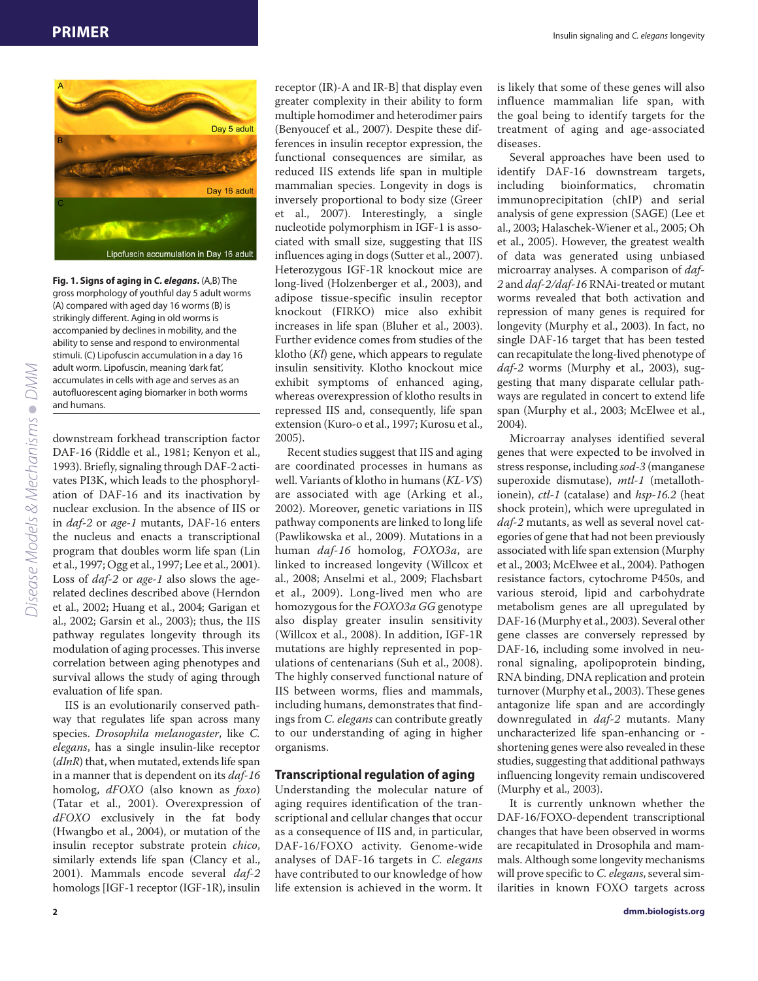

**Fig. 1. Signs of aging in** *C. elegans***.** (A,B) The gross morphology of youthful day 5 adult worms (A) compared with aged day 16 worms (B) is strikingly different. Aging in old worms is accompanied by declines in mobility, and the ability to sense and respond to environmental stimuli. (C) Lipofuscin accumulation in a day 16 adult worm. Lipofuscin, meaning 'dark fat', accumulates in cells with age and serves as an autofluorescent aging biomarker in both worms and humans.

downstream forkhead transcription factor DAF-16 (Riddle et al., 1981; Kenyon et al., 1993). Briefly, signaling through DAF-2 activates PI3K, which leads to the phosphorylation of DAF-16 and its inactivation by nuclear exclusion. In the absence of IIS or in *daf-2* or *age-1* mutants, DAF-16 enters the nucleus and enacts a transcriptional program that doubles worm life span (Lin et al., 1997; Ogg et al., 1997; Lee et al., 2001). Loss of *daf-2* or *age-1* also slows the agerelated declines described above (Herndon et al., 2002; Huang et al., 2004; Garigan et al., 2002; Garsin et al., 2003); thus, the IIS pathway regulates longevity through its modulation of aging processes. This inverse correlation between aging phenotypes and survival allows the study of aging through evaluation of life span.

IIS is an evolutionarily conserved pathway that regulates life span across many species. *Drosophila melanogaster*, like *C. elegans*, has a single insulin-like receptor (*dInR*) that, when mutated, extends life span in a manner that is dependent on its *daf-16* homolog, *dFOXO* (also known as *foxo*) (Tatar et al., 2001). Overexpression of *dFOXO* exclusively in the fat body (Hwangbo et al., 2004), or mutation of the insulin receptor substrate protein *chico*, similarly extends life span (Clancy et al., 2001). Mammals encode several *daf-2* homologs [IGF-1 receptor (IGF-1R), insulin

receptor (IR)-A and IR-B] that display even greater complexity in their ability to form multiple homodimer and heterodimer pairs (Benyoucef et al., 2007). Despite these differences in insulin receptor expression, the functional consequences are similar, as reduced IIS extends life span in multiple mammalian species. Longevity in dogs is inversely proportional to body size (Greer et al., 2007). Interestingly, a single nucleotide polymorphism in IGF-1 is associated with small size, suggesting that IIS influences aging in dogs (Sutter et al., 2007). Heterozygous IGF-1R knockout mice are long-lived (Holzenberger et al., 2003), and adipose tissue-specific insulin receptor knockout (FIRKO) mice also exhibit increases in life span (Bluher et al., 2003). Further evidence comes from studies of the klotho (*Kl*) gene, which appears to regulate insulin sensitivity. Klotho knockout mice exhibit symptoms of enhanced aging, whereas overexpression of klotho results in repressed IIS and, consequently, life span extension (Kuro-o et al., 1997; Kurosu et al., 2005).

Recent studies suggest that IIS and aging are coordinated processes in humans as well. Variants of klotho in humans (*KL-VS*) are associated with age (Arking et al., 2002). Moreover, genetic variations in IIS pathway components are linked to long life (Pawlikowska et al., 2009). Mutations in a human *daf-16* homolog, *FOXO3a*, are linked to increased longevity (Willcox et al., 2008; Anselmi et al., 2009; Flachsbart et al., 2009). Long-lived men who are homozygous for the *FOXO3a GG* genotype also display greater insulin sensitivity (Willcox et al., 2008). In addition, IGF-1R mutations are highly represented in populations of centenarians (Suh et al., 2008). The highly conserved functional nature of IIS between worms, flies and mammals, including humans, demonstrates that findings from *C. elegans* can contribute greatly to our understanding of aging in higher organisms.

#### **Transcriptional regulation of aging**

Understanding the molecular nature of aging requires identification of the transcriptional and cellular changes that occur as a consequence of IIS and, in particular, DAF-16/FOXO activity. Genome-wide analyses of DAF-16 targets in *C. elegans* have contributed to our knowledge of how life extension is achieved in the worm. It

is likely that some of these genes will also influence mammalian life span, with the goal being to identify targets for the treatment of aging and age-associated diseases.

Several approaches have been used to identify DAF-16 downstream targets, including bioinformatics, chromatin immunoprecipitation (chIP) and serial analysis of gene expression (SAGE) (Lee et al., 2003; Halaschek-Wiener et al., 2005; Oh et al., 2005). However, the greatest wealth of data was generated using unbiased microarray analyses. A comparison of *daf-2* and *daf-2/daf-16* RNAi-treated or mutant worms revealed that both activation and repression of many genes is required for longevity (Murphy et al., 2003). In fact, no single DAF-16 target that has been tested can recapitulate the long-lived phenotype of *daf-2* worms (Murphy et al., 2003), suggesting that many disparate cellular pathways are regulated in concert to extend life span (Murphy et al., 2003; McElwee et al., 2004).

Microarray analyses identified several genes that were expected to be involved in stress response, including *sod-3* (manganese superoxide dismutase), *mtl-1* (metallothionein), *ctl-1* (catalase) and *hsp-16.2* (heat shock protein), which were upregulated in *daf-2* mutants, as well as several novel categories of gene that had not been previously associated with life span extension (Murphy et al., 2003; McElwee et al., 2004). Pathogen resistance factors, cytochrome P450s, and various steroid, lipid and carbohydrate metabolism genes are all upregulated by DAF-16 (Murphy et al., 2003). Several other gene classes are conversely repressed by DAF-16, including some involved in neuronal signaling, apolipoprotein binding, RNA binding, DNA replication and protein turnover (Murphy et al., 2003). These genes antagonize life span and are accordingly downregulated in *daf-2* mutants. Many uncharacterized life span-enhancing or shortening genes were also revealed in these studies, suggesting that additional pathways influencing longevity remain undiscovered (Murphy et al., 2003).

It is currently unknown whether the DAF-16/FOXO-dependent transcriptional changes that have been observed in worms are recapitulated in Drosophila and mammals. Although some longevity mechanisms will prove specific to *C. elegans*, several similarities in known FOXO targets across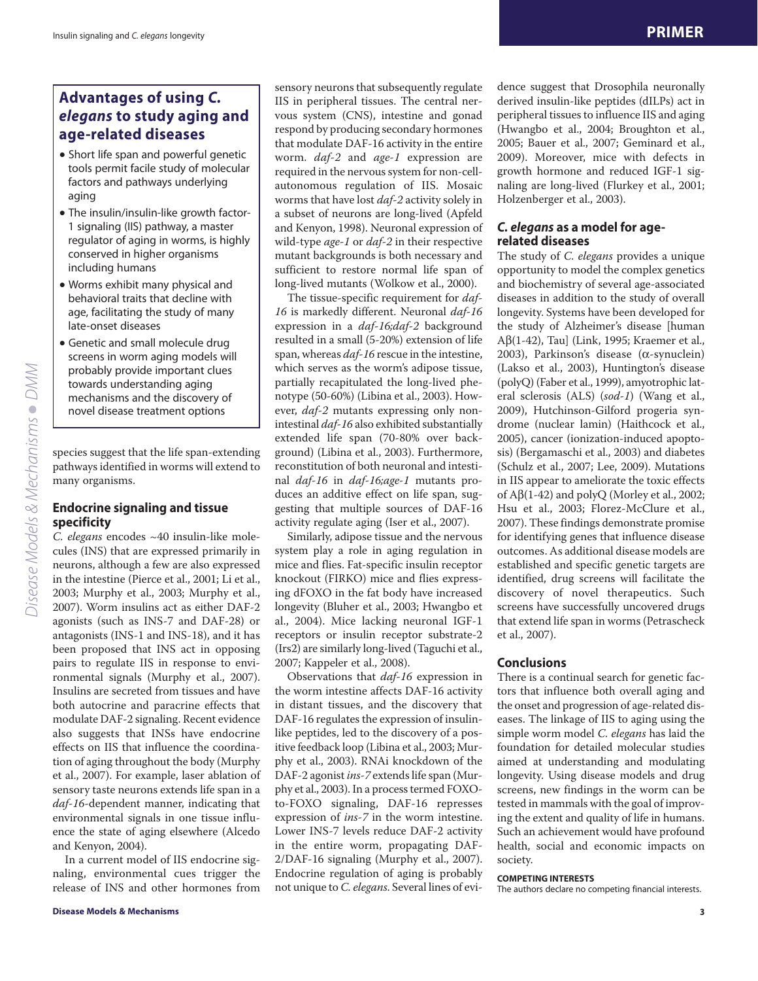# **Advantages of using** *C. elegans* **to study aging and age-related diseases**

- Short life span and powerful genetic tools permit facile study of molecular factors and pathways underlying aging
- The insulin/insulin-like growth factor-1 signaling (IIS) pathway, a master regulator of aging in worms, is highly conserved in higher organisms including humans
- Worms exhibit many physical and behavioral traits that decline with age, facilitating the study of many late-onset diseases
- Genetic and small molecule drug screens in worm aging models will probably provide important clues towards understanding aging mechanisms and the discovery of novel disease treatment options

species suggest that the life span-extending pathways identified in worms will extend to many organisms.

## **Endocrine signaling and tissue specificity**

*C. elegans* encodes ~40 insulin-like molecules (INS) that are expressed primarily in neurons, although a few are also expressed in the intestine (Pierce et al., 2001; Li et al., 2003; Murphy et al., 2003; Murphy et al., 2007). Worm insulins act as either DAF-2 agonists (such as INS-7 and DAF-28) or antagonists (INS-1 and INS-18), and it has been proposed that INS act in opposing pairs to regulate IIS in response to environmental signals (Murphy et al., 2007). Insulins are secreted from tissues and have both autocrine and paracrine effects that modulate DAF-2 signaling. Recent evidence also suggests that INSs have endocrine effects on IIS that influence the coordination of aging throughout the body (Murphy et al., 2007). For example, laser ablation of sensory taste neurons extends life span in a *daf-16*-dependent manner, indicating that environmental signals in one tissue influence the state of aging elsewhere (Alcedo and Kenyon, 2004).

In a current model of IIS endocrine signaling, environmental cues trigger the release of INS and other hormones from

sensory neurons that subsequently regulate IIS in peripheral tissues. The central nervous system (CNS), intestine and gonad respond by producing secondary hormones that modulate DAF-16 activity in the entire worm. *daf-2* and *age-1* expression are required in the nervous system for non-cellautonomous regulation of IIS. Mosaic worms that have lost *daf-2* activity solely in a subset of neurons are long-lived (Apfeld and Kenyon, 1998). Neuronal expression of wild-type *age-1* or *daf-2* in their respective mutant backgrounds is both necessary and sufficient to restore normal life span of long-lived mutants (Wolkow et al., 2000).

The tissue-specific requirement for *daf-16* is markedly different. Neuronal *daf-16* expression in a *daf-16;daf-2* background resulted in a small (5-20%) extension of life span, whereas *daf-16* rescue in the intestine, which serves as the worm's adipose tissue, partially recapitulated the long-lived phenotype (50-60%) (Libina et al., 2003). However, *daf-2* mutants expressing only nonintestinal *daf-16* also exhibited substantially extended life span (70-80% over background) (Libina et al., 2003). Furthermore, reconstitution of both neuronal and intestinal *daf-16* in *daf-16;age-1* mutants produces an additive effect on life span, suggesting that multiple sources of DAF-16 activity regulate aging (Iser et al., 2007).

Similarly, adipose tissue and the nervous system play a role in aging regulation in mice and flies. Fat-specific insulin receptor knockout (FIRKO) mice and flies expressing dFOXO in the fat body have increased longevity (Bluher et al., 2003; Hwangbo et al., 2004). Mice lacking neuronal IGF-1 receptors or insulin receptor substrate-2 (Irs2) are similarly long-lived (Taguchi et al., 2007; Kappeler et al., 2008).

Observations that *daf-16* expression in the worm intestine affects DAF-16 activity in distant tissues, and the discovery that DAF-16 regulates the expression of insulinlike peptides, led to the discovery of a positive feedback loop (Libina et al., 2003; Murphy et al., 2003). RNAi knockdown of the DAF-2 agonist *ins-7* extends life span (Murphy et al., 2003). In a process termed FOXOto-FOXO signaling, DAF-16 represses expression of *ins-7* in the worm intestine. Lower INS-7 levels reduce DAF-2 activity in the entire worm, propagating DAF-2/DAF-16 signaling (Murphy et al., 2007). Endocrine regulation of aging is probably not unique to *C. elegans*. Several lines of evidence suggest that Drosophila neuronally derived insulin-like peptides (dILPs) act in peripheral tissues to influence IIS and aging (Hwangbo et al., 2004; Broughton et al., 2005; Bauer et al., 2007; Geminard et al., 2009). Moreover, mice with defects in growth hormone and reduced IGF-1 signaling are long-lived (Flurkey et al., 2001; Holzenberger et al., 2003).

#### *C. elegans* **as a model for agerelated diseases**

The study of *C. elegans* provides a unique opportunity to model the complex genetics and biochemistry of several age-associated diseases in addition to the study of overall longevity. Systems have been developed for the study of Alzheimer's disease [human A $\beta$ (1-42), Tau] (Link, 1995; Kraemer et al., 2003), Parkinson's disease ( $\alpha$ -synuclein) (Lakso et al., 2003), Huntington's disease (polyQ) (Faber et al., 1999), amyotrophic lateral sclerosis (ALS) (*sod-1*) (Wang et al., 2009), Hutchinson-Gilford progeria syndrome (nuclear lamin) (Haithcock et al., 2005), cancer (ionization-induced apoptosis) (Bergamaschi et al., 2003) and diabetes (Schulz et al., 2007; Lee, 2009). Mutations in IIS appear to ameliorate the toxic effects of  $A\beta(1-42)$  and polyQ (Morley et al., 2002; Hsu et al., 2003; Florez-McClure et al., 2007). These findings demonstrate promise for identifying genes that influence disease outcomes. As additional disease models are established and specific genetic targets are identified, drug screens will facilitate the discovery of novel therapeutics. Such screens have successfully uncovered drugs that extend life span in worms (Petrascheck et al., 2007).

## **Conclusions**

There is a continual search for genetic factors that influence both overall aging and the onset and progression of age-related diseases. The linkage of IIS to aging using the simple worm model *C. elegans* has laid the foundation for detailed molecular studies aimed at understanding and modulating longevity. Using disease models and drug screens, new findings in the worm can be tested in mammals with the goal of improving the extent and quality of life in humans. Such an achievement would have profound health, social and economic impacts on society.

#### **COMPETING INTERESTS**

The authors declare no competing financial interests.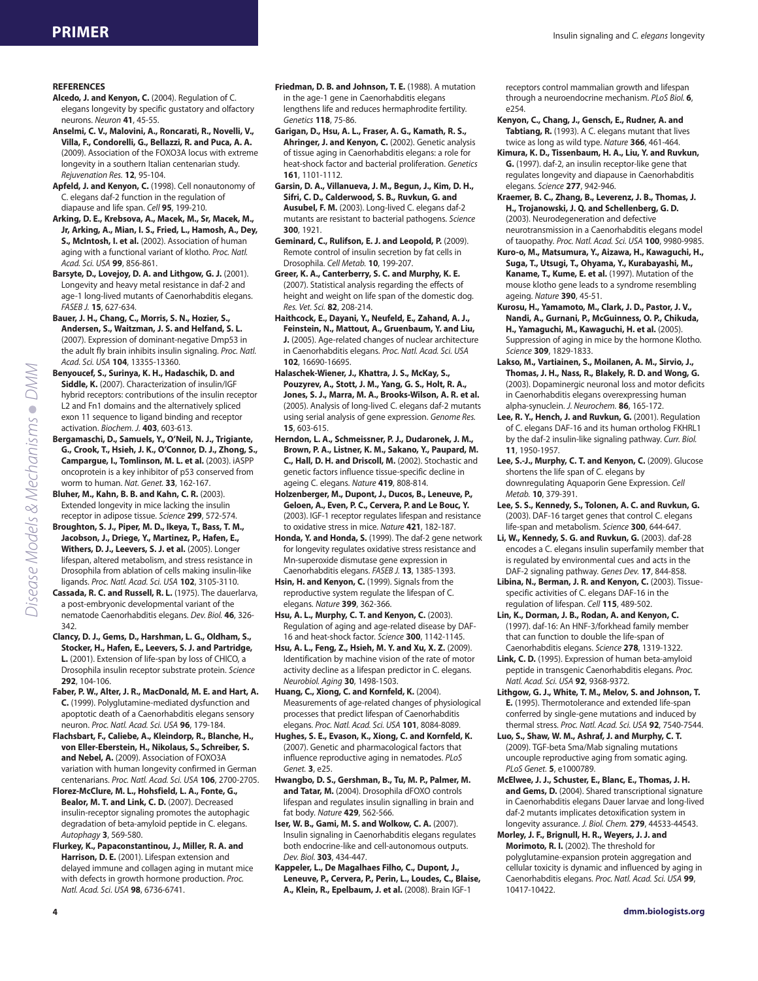#### **REFERENCES**

- **Alcedo, J. and Kenyon, C.** (2004). Regulation of C. elegans longevity by specific gustatory and olfactory neurons. *Neuron* **41**, 45-55.
- **Anselmi, C. V., Malovini, A., Roncarati, R., Novelli, V., Villa, F., Condorelli, G., Bellazzi, R. and Puca, A. A.** (2009). Association of the FOXO3A locus with extreme longevity in a southern Italian centenarian study. *Rejuvenation Res.* **12**, 95-104.
- **Apfeld, J. and Kenyon, C.** (1998). Cell nonautonomy of C. elegans daf-2 function in the regulation of diapause and life span. *Cell* **95**, 199-210.
- **Arking, D. E., Krebsova, A., Macek, M., Sr, Macek, M., Jr, Arking, A., Mian, I. S., Fried, L., Hamosh, A., Dey, S., McIntosh, I. et al.** (2002). Association of human aging with a functional variant of klotho. *Proc. Natl. Acad. Sci. USA* **99**, 856-861.
- **Barsyte, D., Lovejoy, D. A. and Lithgow, G. J.** (2001). Longevity and heavy metal resistance in daf-2 and age-1 long-lived mutants of Caenorhabditis elegans. *FASEB J.* **15**, 627-634.
- **Bauer, J. H., Chang, C., Morris, S. N., Hozier, S., Andersen, S., Waitzman, J. S. and Helfand, S. L.** (2007). Expression of dominant-negative Dmp53 in the adult fly brain inhibits insulin signaling. *Proc. Natl. Acad. Sci. USA* **104**, 13355-13360.
- **Benyoucef, S., Surinya, K. H., Hadaschik, D. and Siddle, K.** (2007). Characterization of insulin/IGF hybrid receptors: contributions of the insulin receptor L2 and Fn1 domains and the alternatively spliced exon 11 sequence to ligand binding and receptor activation. *Biochem. J.* **403**, 603-613.
- **Bergamaschi, D., Samuels, Y., O'Neil, N. J., Trigiante, G., Crook, T., Hsieh, J. K., O'Connor, D. J., Zhong, S., Campargue, I., Tomlinson, M. L. et al.** (2003). iASPP oncoprotein is a key inhibitor of p53 conserved from worm to human. *Nat. Genet.* **33**, 162-167.

**Bluher, M., Kahn, B. B. and Kahn, C. R.** (2003). Extended longevity in mice lacking the insulin receptor in adipose tissue. *Science* **299**, 572-574.

- **Broughton, S. J., Piper, M. D., Ikeya, T., Bass, T. M., Jacobson, J., Driege, Y., Martinez, P., Hafen, E., Withers, D. J., Leevers, S. J. et al.** (2005). Longer lifespan, altered metabolism, and stress resistance in Drosophila from ablation of cells making insulin-like ligands. *Proc. Natl. Acad. Sci. USA* **102**, 3105-3110.
- **Cassada, R. C. and Russell, R. L.** (1975). The dauerlarva, a post-embryonic developmental variant of the nematode Caenorhabditis elegans. *Dev. Biol.* **46**, 326- 342.
- **Clancy, D. J., Gems, D., Harshman, L. G., Oldham, S., Stocker, H., Hafen, E., Leevers, S. J. and Partridge, L.** (2001). Extension of life-span by loss of CHICO, a Drosophila insulin receptor substrate protein. *Science* **292**, 104-106.

**Faber, P. W., Alter, J. R., MacDonald, M. E. and Hart, A. C.** (1999). Polyglutamine-mediated dysfunction and apoptotic death of a Caenorhabditis elegans sensory neuron. *Proc. Natl. Acad. Sci. USA* **96**, 179-184.

- **Flachsbart, F., Caliebe, A., Kleindorp, R., Blanche, H., von Eller-Eberstein, H., Nikolaus, S., Schreiber, S. and Nebel, A.** (2009). Association of FOXO3A variation with human longevity confirmed in German centenarians. *Proc. Natl. Acad. Sci. USA* **106**, 2700-2705.
- **Florez-McClure, M. L., Hohsfield, L. A., Fonte, G., Bealor, M. T. and Link, C. D.** (2007). Decreased insulin-receptor signaling promotes the autophagic degradation of beta-amyloid peptide in C. elegans. *Autophagy* **3**, 569-580.
- **Flurkey, K., Papaconstantinou, J., Miller, R. A. and Harrison, D. E.** (2001). Lifespan extension and delayed immune and collagen aging in mutant mice with defects in growth hormone production. *Proc. Natl. Acad. Sci. USA* **98**, 6736-6741.
- **Friedman, D. B. and Johnson, T. E.** (1988). A mutation in the age-1 gene in Caenorhabditis elegans lengthens life and reduces hermaphrodite fertility. *Genetics* **118**, 75-86.
- **Garigan, D., Hsu, A. L., Fraser, A. G., Kamath, R. S., Ahringer, J. and Kenyon, C.** (2002). Genetic analysis of tissue aging in Caenorhabditis elegans: a role for heat-shock factor and bacterial proliferation. *Genetics* **161**, 1101-1112.
- **Garsin, D. A., Villanueva, J. M., Begun, J., Kim, D. H., Sifri, C. D., Calderwood, S. B., Ruvkun, G. and Ausubel, F. M.** (2003). Long-lived C. elegans daf-2 mutants are resistant to bacterial pathogens. *Science* **300**, 1921.
- **Geminard, C., Rulifson, E. J. and Leopold, P.** (2009). Remote control of insulin secretion by fat cells in Drosophila. *Cell Metab.* **10**, 199-207.

**Greer, K. A., Canterberry, S. C. and Murphy, K. E.** (2007). Statistical analysis regarding the effects of height and weight on life span of the domestic dog. *Res. Vet. Sci.* **82**, 208-214.

**Haithcock, E., Dayani, Y., Neufeld, E., Zahand, A. J., Feinstein, N., Mattout, A., Gruenbaum, Y. and Liu, J.** (2005). Age-related changes of nuclear architecture in Caenorhabditis elegans. *Proc. Natl. Acad. Sci. USA* **102**, 16690-16695.

- **Halaschek-Wiener, J., Khattra, J. S., McKay, S., Pouzyrev, A., Stott, J. M., Yang, G. S., Holt, R. A., Jones, S. J., Marra, M. A., Brooks-Wilson, A. R. et al.** (2005). Analysis of long-lived C. elegans daf-2 mutants using serial analysis of gene expression. *Genome Res.* **15**, 603-615.
- **Herndon, L. A., Schmeissner, P. J., Dudaronek, J. M., Brown, P. A., Listner, K. M., Sakano, Y., Paupard, M. C., Hall, D. H. and Driscoll, M.** (2002). Stochastic and genetic factors influence tissue-specific decline in ageing C. elegans. *Nature* **419**, 808-814.

**Holzenberger, M., Dupont, J., Ducos, B., Leneuve, P., Geloen, A., Even, P. C., Cervera, P. and Le Bouc, Y.** (2003). IGF-1 receptor regulates lifespan and resistance to oxidative stress in mice. *Nature* **421**, 182-187.

**Honda, Y. and Honda, S.** (1999). The daf-2 gene network for longevity regulates oxidative stress resistance and Mn-superoxide dismutase gene expression in Caenorhabditis elegans. *FASEB J.* **13**, 1385-1393.

**Hsin, H. and Kenyon, C.** (1999). Signals from the reproductive system regulate the lifespan of C. elegans. *Nature* **399**, 362-366.

**Hsu, A. L., Murphy, C. T. and Kenyon, C.** (2003). Regulation of aging and age-related disease by DAF-16 and heat-shock factor. *Science* **300**, 1142-1145.

**Hsu, A. L., Feng, Z., Hsieh, M. Y. and Xu, X. Z.** (2009). Identification by machine vision of the rate of motor activity decline as a lifespan predictor in C. elegans. *Neurobiol. Aging* **30**, 1498-1503.

**Huang, C., Xiong, C. and Kornfeld, K.** (2004). Measurements of age-related changes of physiological processes that predict lifespan of Caenorhabditis elegans. *Proc. Natl. Acad. Sci. USA* **101**, 8084-8089.

**Hughes, S. E., Evason, K., Xiong, C. and Kornfeld, K.** (2007). Genetic and pharmacological factors that influence reproductive aging in nematodes. *PLoS Genet.* **3**, e25.

**Hwangbo, D. S., Gershman, B., Tu, M. P., Palmer, M. and Tatar, M.** (2004). Drosophila dFOXO controls lifespan and regulates insulin signalling in brain and fat body. *Nature* **429**, 562-566.

**Iser, W. B., Gami, M. S. and Wolkow, C. A.** (2007). Insulin signaling in Caenorhabditis elegans regulates both endocrine-like and cell-autonomous outputs. *Dev. Biol.* **303**, 434-447.

**Kappeler, L., De Magalhaes Filho, C., Dupont, J., Leneuve, P., Cervera, P., Perin, L., Loudes, C., Blaise, A., Klein, R., Epelbaum, J. et al.** (2008). Brain IGF-1

receptors control mammalian growth and lifespan through a neuroendocrine mechanism. *PLoS Biol.* **6**, e254.

**Kenyon, C., Chang, J., Gensch, E., Rudner, A. and Tabtiang, R.** (1993). A C. elegans mutant that lives twice as long as wild type. *Nature* **366**, 461-464.

**Kimura, K. D., Tissenbaum, H. A., Liu, Y. and Ruvkun, G.** (1997). daf-2, an insulin receptor-like gene that regulates longevity and diapause in Caenorhabditis elegans. *Science* **277**, 942-946.

- **Kraemer, B. C., Zhang, B., Leverenz, J. B., Thomas, J. H., Trojanowski, J. Q. and Schellenberg, G. D.** (2003). Neurodegeneration and defective neurotransmission in a Caenorhabditis elegans model of tauopathy. *Proc. Natl. Acad. Sci. USA* **100**, 9980-9985.
- **Kuro-o, M., Matsumura, Y., Aizawa, H., Kawaguchi, H., Suga, T., Utsugi, T., Ohyama, Y., Kurabayashi, M., Kaname, T., Kume, E. et al.** (1997). Mutation of the mouse klotho gene leads to a syndrome resembling ageing. *Nature* **390**, 45-51.
- **Kurosu, H., Yamamoto, M., Clark, J. D., Pastor, J. V., Nandi, A., Gurnani, P., McGuinness, O. P., Chikuda, H., Yamaguchi, M., Kawaguchi, H. et al.** (2005). Suppression of aging in mice by the hormone Klotho. *Science* **309**, 1829-1833.
- **Lakso, M., Vartiainen, S., Moilanen, A. M., Sirvio, J., Thomas, J. H., Nass, R., Blakely, R. D. and Wong, G.** (2003). Dopaminergic neuronal loss and motor deficits in Caenorhabditis elegans overexpressing human alpha-synuclein. *J. Neurochem.* **86**, 165-172.
- **Lee, R. Y., Hench, J. and Ruvkun, G.** (2001). Regulation of C. elegans DAF-16 and its human ortholog FKHRL1 by the daf-2 insulin-like signaling pathway. *Curr. Biol.* **11**, 1950-1957.
- **Lee, S.-J., Murphy, C. T. and Kenyon, C.** (2009). Glucose shortens the life span of C. elegans by downregulating Aquaporin Gene Expression. *Cell Metab.* **10**, 379-391.
- **Lee, S. S., Kennedy, S., Tolonen, A. C. and Ruvkun, G.** (2003). DAF-16 target genes that control C. elegans life-span and metabolism. *Science* **300**, 644-647.
- **Li, W., Kennedy, S. G. and Ruvkun, G.** (2003). daf-28 encodes a C. elegans insulin superfamily member that is regulated by environmental cues and acts in the DAF-2 signaling pathway. *Genes Dev.* **17**, 844-858.
- **Libina, N., Berman, J. R. and Kenyon, C.** (2003). Tissuespecific activities of C. elegans DAF-16 in the regulation of lifespan. *Cell* **115**, 489-502.
- **Lin, K., Dorman, J. B., Rodan, A. and Kenyon, C.** (1997). daf-16: An HNF-3/forkhead family member that can function to double the life-span of Caenorhabditis elegans. *Science* **278**, 1319-1322.
- **Link, C. D.** (1995). Expression of human beta-amyloid peptide in transgenic Caenorhabditis elegans. *Proc. Natl. Acad. Sci. USA* **92**, 9368-9372.
- **Lithgow, G. J., White, T. M., Melov, S. and Johnson, T. E.** (1995). Thermotolerance and extended life-span conferred by single-gene mutations and induced by thermal stress. *Proc. Natl. Acad. Sci. USA* **92**, 7540-7544.
- **Luo, S., Shaw, W. M., Ashraf, J. and Murphy, C. T.** (2009). TGF-beta Sma/Mab signaling mutations uncouple reproductive aging from somatic aging. *PLoS Genet.* **5**, e1000789.
- **McElwee, J. J., Schuster, E., Blanc, E., Thomas, J. H. and Gems, D.** (2004). Shared transcriptional signature in Caenorhabditis elegans Dauer larvae and long-lived daf-2 mutants implicates detoxification system in longevity assurance. *J. Biol. Chem.* **279**, 44533-44543.

**Morley, J. F., Brignull, H. R., Weyers, J. J. and Morimoto, R. I.** (2002). The threshold for polyglutamine-expansion protein aggregation and cellular toxicity is dynamic and influenced by aging in Caenorhabditis elegans. *Proc. Natl. Acad. Sci. USA* **99**, 10417-10422.